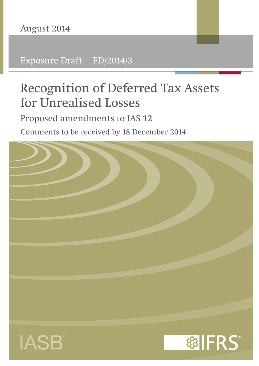Exposure Draft ED/2014/3

# Recognition of Deferred Tax Assets for Unrealised Losses

Proposed amendments to IAS 12

Comments to be received by 18 December 2014





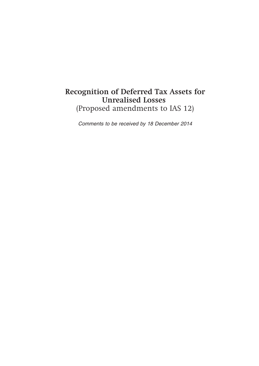# **Recognition of Deferred Tax Assets for Unrealised Losses** (Proposed amendments to IAS 12)

*Comments to be received by 18 December 2014*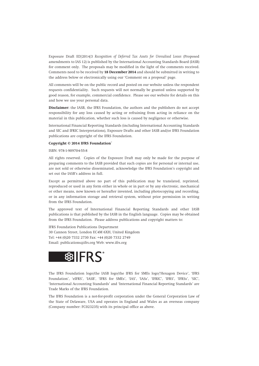Exposure Draft ED/2014/3 *Recognition of Deferred Tax Assets for Unrealised Losses* (Proposed amendments to IAS 12) is published by the International Accounting Standards Board (IASB) for comment only. The proposals may be modified in the light of the comments received. Comments need to be received by **18 December 2014** and should be submitted in writing to the address below or electronically using our 'Comment on a proposal' page.

All comments will be on the public record and posted on our website unless the respondent requests confidentiality. Such requests will not normally be granted unless supported by good reason, for example, commercial confidence. Please see our website for details on this and how we use your personal data.

**Disclaimer:** the IASB, the IFRS Foundation, the authors and the publishers do not accept responsibility for any loss caused by acting or refraining from acting in reliance on the material in this publication, whether such loss is caused by negligence or otherwise.

International Financial Reporting Standards (including International Accounting Standards and SIC and IFRIC Interpretations), Exposure Drafts and other IASB and/or IFRS Foundation publications are copyright of the IFRS Foundation.

#### **Copyright © 2014 IFRS Foundation**®

ISBN: 978-1-909704-55-8

All rights reserved. Copies of the Exposure Draft may only be made for the purpose of preparing comments to the IASB provided that such copies are for personal or internal use, are not sold or otherwise disseminated, acknowledge the IFRS Foundation's copyright and set out the IASB's address in full.

Except as permitted above no part of this publication may be translated, reprinted, reproduced or used in any form either in whole or in part or by any electronic, mechanical or other means, now known or hereafter invented, including photocopying and recording, or in any information storage and retrieval system, without prior permission in writing from the IFRS Foundation.

The approved text of International Financial Reporting Standards and other IASB publications is that published by the IASB in the English language. Copies may be obtained from the IFRS Foundation. Please address publications and copyright matters to:

IFRS Foundation Publications Department 30 Cannon Street, London EC4M 6XH, United Kingdom Tel: +44 (0)20 7332 2730 Fax: +44 (0)20 7332 2749 Email: publications@ifrs.org Web: www.ifrs.org



The IFRS Foundation logo/the IASB logo/the IFRS for SMEs logo/'Hexagon Device', 'IFRS Foundation', 'eIFRS', 'IASB', 'IFRS for SMEs', 'IAS', 'IASs', 'IFRIC', 'IFRS', 'IFRSs', 'SIC', 'International Accounting Standards' and 'International Financial Reporting Standards' are Trade Marks of the IFRS Foundation.

The IFRS Foundation is a not-for-profit corporation under the General Corporation Law of the State of Delaware, USA and operates in England and Wales as an overseas company (Company number: FC023235) with its principal office as above.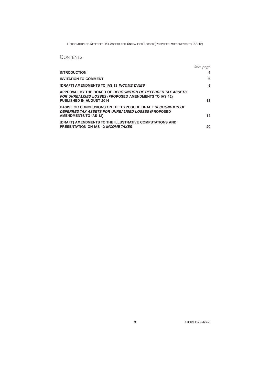# **CONTENTS**

|                                                                                                                                                          | from page |
|----------------------------------------------------------------------------------------------------------------------------------------------------------|-----------|
| <b>INTRODUCTION</b>                                                                                                                                      | 4         |
| <b>INVITATION TO COMMENT</b>                                                                                                                             | 6         |
| [DRAFT] AMENDMENTS TO IAS 12 INCOME TAXES                                                                                                                | 8         |
| APPROVAL BY THE BOARD OF RECOGNITION OF DEFERRED TAX ASSETS<br>FOR UNREALISED LOSSES (PROPOSED AMENDMENTS TO IAS 12)<br><b>PUBLISHED IN AUGUST 2014</b>  | 13        |
| <b>BASIS FOR CONCLUSIONS ON THE EXPOSURE DRAFT RECOGNITION OF</b><br>DEFERRED TAX ASSETS FOR UNREALISED LOSSES (PROPOSED<br><b>AMENDMENTS TO IAS 12)</b> | 14        |
| [DRAFT] AMENDMENTS TO THE ILLUSTRATIVE COMPUTATIONS AND<br>PRESENTATION ON IAS 12 INCOME TAXES                                                           | 20        |

<sup>©</sup> IFRS Foundation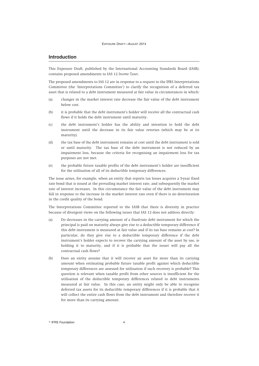# **Introduction**

This Exposure Draft, published by the International Accounting Standards Board (IASB), contains proposed amendments to IAS 12 *Income Taxes*.

The proposed amendments to IAS 12 are in response to a request to the IFRS Interpretations Committee (the 'Interpretations Committee') to clarify the recognition of a deferred tax asset that is related to a debt instrument measured at fair value in circumstances in which:

- (a) changes in the market interest rate decrease the fair value of the debt instrument below cost.
- (b) it is probable that the debt instrument's holder will receive all the contractual cash flows if it holds the debt instrument until maturity.
- (c) the debt instrument's holder has the ability and intention to hold the debt instrument until the decrease in its fair value reverses (which may be at its maturity).
- (d) the tax base of the debt instrument remains at cost until the debt instrument is sold or until maturity. The tax base of the debt instrument is not reduced by an impairment loss, because the criteria for recognising an impairment loss for tax purposes are not met.
- (e) the probable future taxable profits of the debt instrument's holder are insufficient for the utilisation of all of its deductible temporary differences.

The issue arises, for example, when an entity that reports tax losses acquires a 5-year fixed rate bond that is issued at the prevailing market interest rate, and subsequently the market rate of interest increases. In this circumstance the fair value of the debt instrument may fall in response to the increase in the market interest rate even if there is no deterioration in the credit quality of the bond.

The Interpretations Committee reported to the IASB that there is diversity in practice because of divergent views on the following issues that IAS 12 does not address directly:

- (a) Do decreases in the carrying amount of a fixed-rate debt instrument for which the principal is paid on maturity always give rise to a deductible temporary difference if this debt instrument is measured at fair value and if its tax base remains at cost? In particular, do they give rise to a deductible temporary difference if the debt instrument's holder expects to recover the carrying amount of the asset by use, ie holding it to maturity, and if it is probable that the issuer will pay all the contractual cash flows?
- (b) Does an entity assume that it will recover an asset for more than its carrying amount when estimating probable future taxable profit against which deductible temporary differences are assessed for utilisation if such recovery is probable? This question is relevant when taxable profit from other sources is insufficient for the utilisation of the deductible temporary differences related to debt instruments measured at fair value. In this case, an entity might only be able to recognise deferred tax assets for its deductible temporary differences if it is probable that it will collect the entire cash flows from the debt instrument and therefore recover it for more than its carrying amount.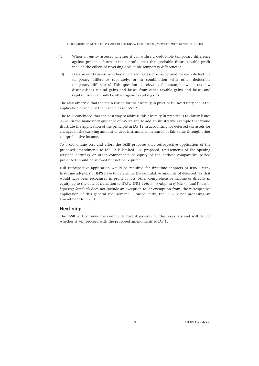- (c) When an entity assesses whether it can utilise a deductible temporary difference against probable future taxable profit, does that probable future taxable profit include the effects of reversing deductible temporary differences?
- (d) Does an entity assess whether a deferred tax asset is recognised for each deductible temporary difference separately, or in combination with other deductible temporary differences? This question is relevant, for example, when tax law distinguishes capital gains and losses from other taxable gains and losses and capital losses can only be offset against capital gains.

The IASB observed that the main reason for the diversity in practice is uncertainty about the application of some of the principles in IAS 12.

The IASB concluded that the best way to address this diversity in practice is to clarify issues (a)–(d) in the mandatory guidance of IAS 12 and to add an illustrative example that would illustrate the application of the principle in IAS 12 in accounting for deferred tax assets for changes in the carrying amount of debt instruments measured at fair value through other comprehensive income.

To avoid undue cost and effort the IASB proposes that retrospective application of the proposed amendments to IAS 12 is limited. As proposed, restatements of the opening retained earnings or other components of equity of the earliest comparative period presented should be allowed but not be required.

Full retrospective application would be required for first-time adopters of IFRS. Many first-time adopters of IFRS have to determine the cumulative amounts of deferred tax that would have been recognised in profit or loss, other comprehensive income or directly in equity up to the date of transition to IFRSs. IFRS 1 *First-time Adoption of International Financial Reporting Standards* does not include an exception to, or exemption from, the retrospective application of this general requirement. Consequently, the IASB is not proposing an amendment to IFRS 1.

# **Next step**

The IASB will consider the comments that it receives on the proposals and will decide whether it will proceed with the proposed amendments to IAS 12.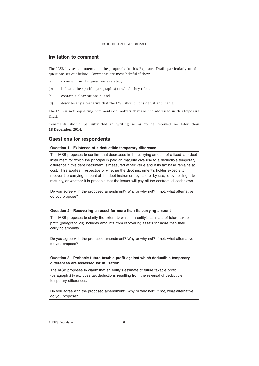#### **Invitation to comment**

The IASB invites comments on the proposals in this Exposure Draft, particularly on the questions set out below. Comments are most helpful if they:

- (a) comment on the questions as stated;
- (b) indicate the specific paragraph(s) to which they relate;
- (c) contain a clear rationale; and
- (d) describe any alternative that the IASB should consider, if applicable.

The IASB is not requesting comments on matters that are not addressed in this Exposure Draft.

Comments should be submitted in writing so as to be received no later than **18 December 2014**.

#### **Questions for respondents**

#### **Question 1—Existence of a deductible temporary difference**

The IASB proposes to confirm that decreases in the carrying amount of a fixed-rate debt instrument for which the principal is paid on maturity give rise to a deductible temporary difference if this debt instrument is measured at fair value and if its tax base remains at cost. This applies irrespective of whether the debt instrument's holder expects to recover the carrying amount of the debt instrument by sale or by use, ie by holding it to maturity, or whether it is probable that the issuer will pay all the contractual cash flows.

Do you agree with the proposed amendment? Why or why not? If not, what alternative do you propose?

#### **Question 2—Recovering an asset for more than its carrying amount**

The IASB proposes to clarify the extent to which an entity's estimate of future taxable profit (paragraph 29) includes amounts from recovering assets for more than their carrying amounts.

Do you agree with the proposed amendment? Why or why not? If not, what alternative do you propose?

#### **Question 3—Probable future taxable profit against which deductible temporary differences are assessed for utilisation**

The IASB proposes to clarify that an entity's estimate of future taxable profit (paragraph 29) excludes tax deductions resulting from the reversal of deductible temporary differences.

Do you agree with the proposed amendment? Why or why not? If not, what alternative do you propose?

**C** IFRS Foundation 6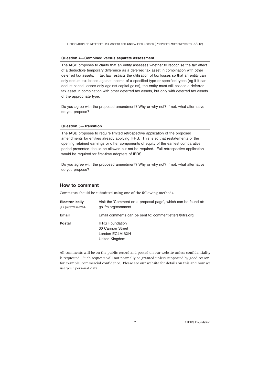#### **Question 4—Combined versus separate assessment**

The IASB proposes to clarify that an entity assesses whether to recognise the tax effect of a deductible temporary difference as a deferred tax asset in combination with other deferred tax assets. If tax law restricts the utilisation of tax losses so that an entity can only deduct tax losses against income of a specified type or specified types (eg if it can deduct capital losses only against capital gains), the entity must still assess a deferred tax asset in combination with other deferred tax assets, but only with deferred tax assets of the appropriate type.

Do you agree with the proposed amendment? Why or why not? If not, what alternative do you propose?

# **Question 5—Transition**

The IASB proposes to require limited retrospective application of the proposed amendments for entities already applying IFRS. This is so that restatements of the opening retained earnings or other components of equity of the earliest comparative period presented should be allowed but not be required. Full retrospective application would be required for first-time adopters of IFRS.

Do you agree with the proposed amendment? Why or why not? If not, what alternative do you propose?

#### **How to comment**

Comments should be submitted using one of the following methods.

| Electronically<br>(our preferred method) | Visit the 'Comment on a proposal page', which can be found at:<br>go.ifrs.org/comment |
|------------------------------------------|---------------------------------------------------------------------------------------|
| Email                                    | Email comments can be sent to: comment letters @ ifrs.org                             |
| <b>Postal</b>                            | <b>IFRS Foundation</b><br>30 Cannon Street<br>London EC4M 6XH<br>United Kingdom       |

All comments will be on the public record and posted on our website unless confidentiality is requested. Such requests will not normally be granted unless supported by good reason, for example, commercial confidence. Please see our website for details on this and how we use your personal data.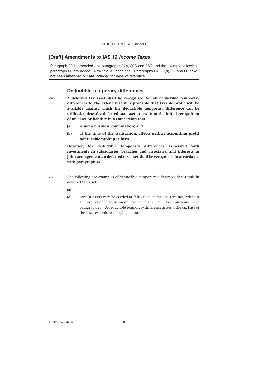# **[Draft] Amendments to IAS 12** *Income Taxes*

Paragraph 29 is amended and paragraphs 27A, 29A and 98G and the example following paragraph 26 are added. New text is underlined. Paragraphs 24, 26(d), 27 and 28 have not been amended but are included for ease of reference.

#### **Deductible temporary differences**

- **24 A deferred tax asset shall be recognised for all deductible temporary differences to the extent that it is probable that taxable profit will be available against which the deductible temporary difference can be utilised, unless the deferred tax asset arises from the initial recognition of an asset or liability in a transaction that:**
	- **(a) is not a business combination; and**
	- **(b) at the time of the transaction, affects neither accounting profit nor taxable profit (tax loss).**

**However, for deductible temporary differences associated with investments in subsidiaries, branches and associates, and interests in joint arrangements, a deferred tax asset shall be recognised in accordance with paragraph 44.**

- 
- 26 The following are examples of deductible temporary differences that result in deferred tax assets:
	- $(a)$

…

(d) certain assets may be carried at fair value, or may be revalued, without an equivalent adjustment being made for tax purposes (see paragraph 20). A deductible temporary difference arises if the tax base of the asset exceeds its carrying amount.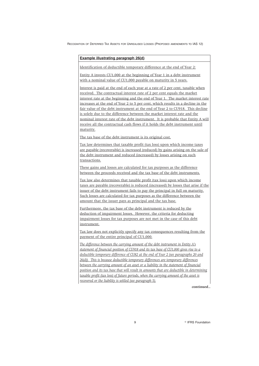#### **Example illustrating paragraph 26(d)**

Identification of deductible temporary difference at the end of Year 2:

Entity A invests CU1,000 at the beginning of Year 1 in a debt instrument with a nominal value of CU1,000 payable on maturity in 5 years.

Interest is paid at the end of each year at a rate of 2 per cent, taxable when received. The contractual interest rate of 2 per cent equals the market interest rate at the beginning and the end of Year 1. The market interest rate increases at the end of Year 2 to 5 per cent, which results in a decline in the fair value of the debt instrument at the end of Year 2 to CU918. This decline is solely due to the difference between the market interest rate and the nominal interest rate of the debt instrument. It is probable that Entity A will receive all the contractual cash flows if it holds the debt instrument until maturity.

The tax base of the debt instrument is its original cost.

Tax law determines that taxable profit (tax loss) upon which income taxes are payable (recoverable) is increased (reduced) by gains arising on the sale of the debt instrument and reduced (increased) by losses arising on such transactions.

These gains and losses are calculated for tax purposes as the difference between the proceeds received and the tax base of the debt instruments.

Tax law also determines that taxable profit (tax loss) upon which income taxes are payable (recoverable) is reduced (increased) by losses that arise if the issuer of the debt instrument fails to pay the principal in full on maturity. Such losses are calculated for tax purposes as the difference between the amount that the issuer pays as principal and the tax base.

Furthermore, the tax base of the debt instrument is reduced by the deduction of impairment losses. However, the criteria for deducting impairment losses for tax purposes are not met in the case of this debt instrument.

Tax law does not explicitly specify any tax consequences resulting from the payment of the entire principal of CU1,000.

*The difference between the carrying amount of the debt instrument in Entity A's statement of financial position of CU918 and its tax base of CU1,000 gives rise to a deductible temporary difference of CU82 at the end of Year 2 (see paragraphs 20 and 26(d)). This is because deductible temporary differences are temporary differences between the carrying amount of an asset or a liability in the statement of financial position and its tax base that will result in amounts that are deductible in determining taxable profit (tax loss) of future periods, when the carrying amount of the asset is recovered or the liability is settled (see paragraph 5).*

*continued...*

<sup>©</sup> IFRS Foundation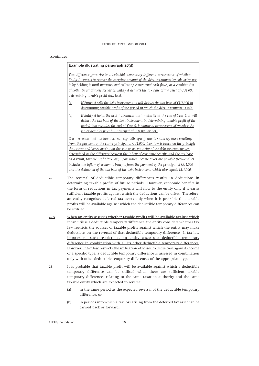#### *...continued*

# **Example illustrating paragraph 26(d)**

*This difference gives rise to a deductible temporary difference irrespective of whether Entity A expects to recover the carrying amount of the debt instrument by sale or by use, ie by holding it until maturity and collecting contractual cash flows, or a combination of both. In all of these scenarios, Entity A deducts the tax base of the asset of CU1,000 in determining taxable profit (tax loss):*

- *(a) If Entity A sells the debt instrument, it will deduct the tax base of CU1,000 in determining taxable profit of the period in which the debt instrument is sold.*
- *(b) If Entity A holds the debt instrument until maturity at the end of Year 5, it will deduct the tax base of the debt instrument in determining taxable profit of the period that includes the end of Year 5, ie maturity (irrespective of whether the issuer actually pays full principal of CU1,000 or not).*

*It is irrelevant that tax law does not explicitly specify any tax consequences resulting from the payment of the entire principal of CU1,000. Tax law is based on the principle that gains and losses arising on the sale or on maturity of the debt instruments are determined as the difference between the inflow of economic benefits and the tax base. As a result, taxable profit (tax loss) upon which income taxes are payable (recoverable) includes the inflow of economic benefits from the payment of the principal of CU1,000 and the deduction of the tax base of the debt instrument, which also equals CU1,000.*

27 The reversal of deductible temporary differences results in deductions in determining taxable profits of future periods. However, economic benefits in the form of reductions in tax payments will flow to the entity only if it earns sufficient taxable profits against which the deductions can be offset. Therefore, an entity recognises deferred tax assets only when it is probable that taxable profits will be available against which the deductible temporary differences can be utilised.

- 27A When an entity assesses whether taxable profits will be available against which it can utilise a deductible temporary difference, the entity considers whether tax law restricts the sources of taxable profits against which the entity may make deductions on the reversal of that deductible temporary difference. If tax law imposes no such restrictions, an entity assesses a deductible temporary difference in combination with all its other deductible temporary differences. However, if tax law restricts the utilisation of losses to deduction against income of a specific type, a deductible temporary difference is assessed in combination only with other deductible temporary differences of the appropriate type.
- 28 It is probable that taxable profit will be available against which a deductible temporary difference can be utilised when there are sufficient taxable temporary differences relating to the same taxation authority and the same taxable entity which are expected to reverse:
	- (a) in the same period as the expected reversal of the deductible temporary difference; or
	- (b) in periods into which a tax loss arising from the deferred tax asset can be carried back or forward.

**Communist Execution** 10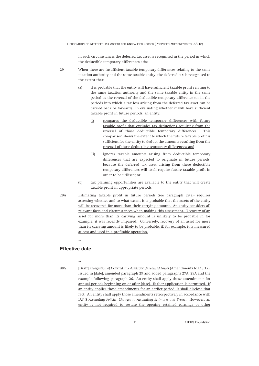In such circumstances the deferred tax asset is recognised in the period in which the deductible temporary differences arise.

- 29 When there are insufficient taxable temporary differences relating to the same taxation authority and the same taxable entity, the deferred tax is recognised to the extent that:
	- (a) it is probable that the entity will have sufficient taxable profit relating to the same taxation authority and the same taxable entity in the same period as the reversal of the deductible temporary difference (or in the periods into which a tax loss arising from the deferred tax asset can be carried back or forward). In evaluating whether it will have sufficient taxable profit in future periods, an entity:
		- (i) compares the deductible temporary differences with future taxable profit that excludes tax deductions resulting from the reversal of those deductible temporary differences. This comparison shows the extent to which the future taxable profit is sufficient for the entity to deduct the amounts resulting from the reversal of those deductible temporary differences; and
		- (ii) ignores taxable amounts arising from deductible temporary differences that are expected to originate in future periods, because the deferred tax asset arising from these deductible temporary differences will itself require future taxable profit in order to be utilised; or
	- (b) tax planning opportunities are available to the entity that will create taxable profit in appropriate periods.
- 29A Estimating taxable profit in future periods (see paragraph 29(a)) requires assessing whether and to what extent it is probable that the assets of the entity will be recovered for more than their carrying amount. An entity considers all relevant facts and circumstances when making this assessment. Recovery of an asset for more than its carrying amount is unlikely to be probable if, for example, it was recently impaired. Conversely, recovery of an asset for more than its carrying amount is likely to be probable, if, for example, it is measured at cost and used in a profitable operation.

#### **Effective date**

…

…

98G [Draft] *Recognition of Deferred Tax Assets for Unrealised Losses* (Amendments to IAS 12), issued in [date], amended paragraph 29 and added paragraphs 27A, 29A and the example following paragraph 26. An entity shall apply those amendments for annual periods beginning on or after [date]. Earlier application is permitted. If an entity applies those amendments for an earlier period, it shall disclose that fact. An entity shall apply those amendments retrospectively in accordance with IAS 8 *Accounting Policies, Changes in Accounting Estimates and Errors*. However, an entity is not required to restate the opening retained earnings or other

> 11  $\circ$ <sup>©</sup> IFRS Foundation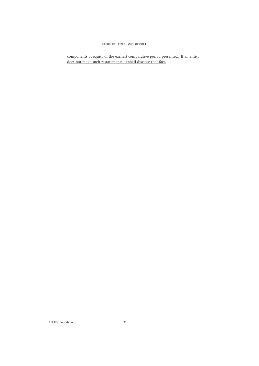components of equity of the earliest comparative period presented. If an entity does not make such restatements, it shall disclose that fact.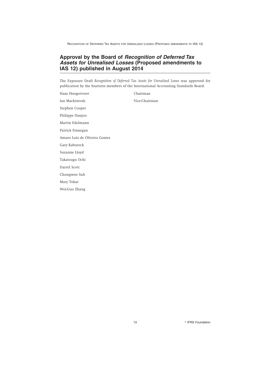# **Approval by the Board of** *Recognition of Deferred Tax Assets for Unrealised Losses* **(Proposed amendments to IAS 12) published in August 2014**

The Exposure Draft *Recognition of Deferred Tax Assets for Unrealised Losses* was approved for publication by the fourteen members of the International Accounting Standards Board.

Hans Hoogervorst Chairman Ian Mackintosh Vice-Chairman Stephen Cooper Philippe Danjou Martin Edelmann Patrick Finnegan Amaro Luiz de Oliveira Gomes Gary Kabureck Suzanne Lloyd Takatsugu Ochi Darrel Scott Chungwoo Suh Mary Tokar Wei-Guo Zhang

<sup>©</sup> IFRS Foundation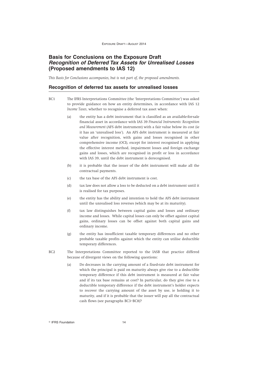# **Basis for Conclusions on the Exposure Draft** *Recognition of Deferred Tax Assets for Unrealised Losses* **(Proposed amendments to IAS 12)**

*This Basis for Conclusions accompanies, but is not part of, the proposed amendments.*

#### **Recognition of deferred tax assets for unrealised losses**

- BC1 The IFRS Interpretations Committee (the 'Interpretations Committee') was asked to provide guidance on how an entity determines, in accordance with IAS 12 *Income Taxes*, whether to recognise a deferred tax asset when:
	- (a) the entity has a debt instrument that is classified as an available-for-sale financial asset in accordance with IAS 39 *Financial Instruments: Recognition and Measurement* (AFS debt instrument) with a fair value below its cost (ie it has an 'unrealised loss'). An AFS debt instrument is measured at fair value after recognition, with gains and losses recognised in other comprehensive income (OCI), except for interest recognised in applying the effective interest method, impairment losses and foreign exchange gains and losses, which are recognised in profit or loss in accordance with IAS 39, until the debt instrument is derecognised.
	- (b) it is probable that the issuer of the debt instrument will make all the contractual payments.
	- (c) the tax base of the AFS debt instrument is cost.
	- (d) tax law does not allow a loss to be deducted on a debt instrument until it is realised for tax purposes.
	- (e) the entity has the ability and intention to hold the AFS debt instrument until the unrealised loss reverses (which may be at its maturity).
	- (f) tax law distinguishes between capital gains and losses and ordinary income and losses. While capital losses can only be offset against capital gains, ordinary losses can be offset against both capital gains and ordinary income.
	- (g) the entity has insufficient taxable temporary differences and no other probable taxable profits against which the entity can utilise deductible temporary differences.
- BC2 The Interpretations Committee reported to the IASB that practice differed because of divergent views on the following questions:
	- (a) Do decreases in the carrying amount of a fixed-rate debt instrument for which the principal is paid on maturity always give rise to a deductible temporary difference if this debt instrument is measured at fair value and if its tax base remains at cost? In particular, do they give rise to a deductible temporary difference if the debt instrument's holder expects to recover the carrying amount of the asset by use, ie holding it to maturity, and if it is probable that the issuer will pay all the contractual cash flows (see paragraphs BC3–BC8)?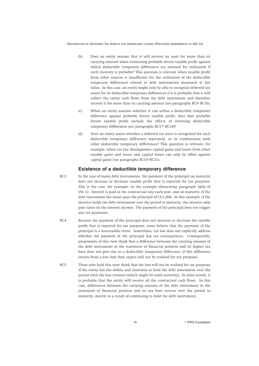- (b) Does an entity assume that it will recover an asset for more than its carrying amount when estimating probable future taxable profit against which deductible temporary differences are assessed for utilisation if such recovery is probable? This question is relevant when taxable profit from other sources is insufficient for the utilisation of the deductible temporary differences related to debt instruments measured at fair value. In this case, an entity might only be able to recognise deferred tax assets for its deductible temporary differences if it is probable that it will collect the entire cash flows from the debt instrument and therefore recover it for more than its carrying amount (see paragraphs BC9–BC16).
- (c) When an entity assesses whether it can utilise a deductible temporary difference against probable future taxable profit, does that probable future taxable profit include the effects of reversing deductible temporary differences (see paragraphs BC17–BC18)?
- (d) Does an entity assess whether a deferred tax asset is recognised for each deductible temporary difference separately, or in combination with other deductible temporary differences? This question is relevant, for example, when tax law distinguishes capital gains and losses from other taxable gains and losses and capital losses can only be offset against capital gains (see paragraphs BC19–BC21).

# **Existence of a deductible temporary difference**

- BC3 In the case of many debt instruments, the payment of the principal on maturity does not increase or decrease taxable profit that is reported for tax purposes. This is the case, for example, in the example illustrating paragraph 26(d) of IAS 12. Interest is paid at the contractual rate each year, and on maturity of the debt instrument the issuer pays the principal of CU1,000. In this example, if the investor holds the debt instrument over the period to maturity, the investor only pays taxes on the interest income. The payment of the principal does not trigger any tax payments.
- BC4 Because the payment of the principal does not increase or decrease the taxable profit that is reported for tax purposes, some believe that the payment of the principal is a non-taxable event. Sometimes, tax law does not explicitly address whether the payment of the principal has tax consequences. Consequently, proponents of this view think that a difference between the carrying amount of the debt instrument in the statement of financial position and its higher tax base does not give rise to a deductible temporary difference, if this difference results from a loss that they expect will not be realised for tax purposes.
- BC5 Those who hold this view think that the loss will not be realised for tax purposes if the entity has the ability and intention to hold the debt instrument over the period until the loss reverses (which might be until maturity). In other words, it is probable that the entity will receive all the contractual cash flows. In this case, differences between the carrying amount of the debt instrument in the statement of financial position and its tax base reverse over the period to maturity, merely as a result of continuing to hold the debt instrument.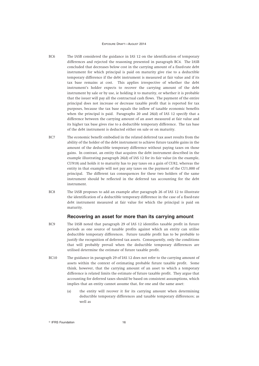- BC6 The IASB considered the guidance in IAS 12 on the identification of temporary differences and rejected the reasoning presented in paragraph BC4. The IASB concluded that decreases below cost in the carrying amount of a fixed-rate debt instrument for which principal is paid on maturity give rise to a deductible temporary difference if the debt instrument is measured at fair value and if its tax base remains at cost. This applies irrespective of whether the debt instrument's holder expects to recover the carrying amount of the debt instrument by sale or by use, ie holding it to maturity, or whether it is probable that the issuer will pay all the contractual cash flows. The payment of the entire principal does not increase or decrease taxable profit that is reported for tax purposes, because the tax base equals the inflow of taxable economic benefits when the principal is paid. Paragraphs 20 and 26(d) of IAS 12 specify that a difference between the carrying amount of an asset measured at fair value and its higher tax base gives rise to a deductible temporary difference. The tax base of the debt instrument is deducted either on sale or on maturity.
- BC7 The economic benefit embodied in the related deferred tax asset results from the ability of the holder of the debt instrument to achieve future taxable gains in the amount of the deductible temporary difference without paying taxes on those gains. In contrast, an entity that acquires the debt instrument described in the example illustrating paragraph 26(d) of IAS 12 for its fair value (in the example, CU918) and holds it to maturity has to pay taxes on a gain of CU82, whereas the entity in that example will not pay any taxes on the payment of the CU1,000 of principal. The different tax consequences for these two holders of the same instrument should be reflected in the deferred tax accounting for the debt instrument.
- BC8 The IASB proposes to add an example after paragraph 26 of IAS 12 to illustrate the identification of a deductible temporary difference in the case of a fixed-rate debt instrument measured at fair value for which the principal is paid on maturity.

#### **Recovering an asset for more than its carrying amount**

- BC9 The IASB noted that paragraph 29 of IAS 12 identifies taxable profit in future periods as one source of taxable profits against which an entity can utilise deductible temporary differences. Future taxable profit has to be probable to justify the recognition of deferred tax assets. Consequently, only the conditions that will probably prevail when the deductible temporary differences are utilised determine the estimate of future taxable profit.
- BC10 The guidance in paragraph 29 of IAS 12 does not refer to the carrying amount of assets within the context of estimating probable future taxable profit. Some think, however, that the carrying amount of an asset to which a temporary difference is related limits the estimate of future taxable profit. They argue that accounting for deferred taxes should be based on consistent assumptions, which implies that an entity cannot assume that, for one and the same asset:
	- (a) the entity will recover it for its carrying amount when determining deductible temporary differences and taxable temporary differences; as well as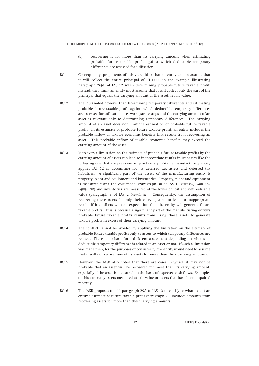- (b) recovering it for more than its carrying amount when estimating probable future taxable profit against which deductible temporary differences are assessed for utilisation.
- BC11 Consequently, proponents of this view think that an entity cannot assume that it will collect the entire principal of CU1,000 in the example illustrating paragraph 26(d) of IAS 12 when determining probable future taxable profit. Instead, they think an entity must assume that it will collect only the part of the principal that equals the carrying amount of the asset, ie fair value.
- BC12 The IASB noted however that determining temporary differences and estimating probable future taxable profit against which deductible temporary differences are assessed for utilisation are two separate steps and the carrying amount of an asset is relevant only to determining temporary differences. The carrying amount of an asset does not limit the estimation of probable future taxable profit. In its estimate of probable future taxable profit, an entity includes the probable inflow of taxable economic benefits that results from recovering an asset. This probable inflow of taxable economic benefits may exceed the carrying amount of the asset.
- BC13 Moreover, a limitation on the estimate of probable future taxable profits by the carrying amount of assets can lead to inappropriate results in scenarios like the following one that are prevalent in practice: a profitable manufacturing entity applies IAS 12 in accounting for its deferred tax assets and deferred tax liabilities. A significant part of the assets of the manufacturing entity is property, plant and equipment and inventories. Property, plant and equipment is measured using the cost model (paragraph 30 of IAS 16 *Property, Plant and Equipment*) and inventories are measured at the lower of cost and net realisable value (paragraph 9 of IAS 2 *Inventories*). Consequently, the assumption of recovering these assets for only their carrying amount leads to inappropriate results if it conflicts with an expectation that the entity will generate future taxable profits. This is because a significant part of the manufacturing entity's probable future taxable profits results from using those assets to generate taxable profits in excess of their carrying amount.
- BC14 The conflict cannot be avoided by applying the limitation on the estimate of probable future taxable profits only to assets to which temporary differences are related. There is no basis for a different assessment depending on whether a deductible temporary difference is related to an asset or not. If such a limitation was made then, for the purposes of consistency, the entity would need to assume that it will not recover any of its assets for more than their carrying amounts.
- BC15 However, the IASB also noted that there are cases in which it may not be probable that an asset will be recovered for more than its carrying amount, especially if the asset is measured on the basis of expected cash flows. Examples of this are many assets measured at fair value or assets that have been impaired recently.
- BC16 The IASB proposes to add paragraph 29A to IAS 12 to clarify to what extent an entity's estimate of future taxable profit (paragraph 29) includes amounts from recovering assets for more than their carrying amounts.

<sup>©</sup> IFRS Foundation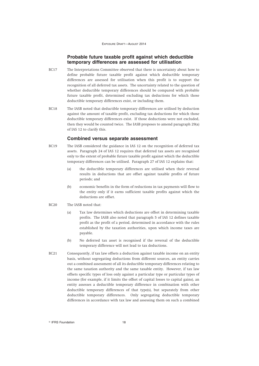# **Probable future taxable profit against which deductible temporary differences are assessed for utilisation**

- BC17 The Interpretations Committee observed that there is uncertainty about how to define probable future taxable profit against which deductible temporary differences are assessed for utilisation when this profit is to support the recognition of all deferred tax assets. The uncertainty related to the question of whether deductible temporary differences should be compared with probable future taxable profit, determined excluding tax deductions for which those deductible temporary differences exist, or including them.
- BC18 The IASB noted that deductible temporary differences are utilised by deduction against the amount of taxable profit, excluding tax deductions for which those deductible temporary differences exist. If those deductions were not excluded, then they would be counted twice. The IASB proposes to amend paragraph 29(a) of IAS 12 to clarify this.

#### **Combined versus separate assessment**

- BC19 The IASB considered the guidance in IAS 12 on the recognition of deferred tax assets. Paragraph 24 of IAS 12 requires that deferred tax assets are recognised only to the extent of probable future taxable profit against which the deductible temporary differences can be utilised. Paragraph 27 of IAS 12 explains that:
	- (a) the deductible temporary differences are utilised when their reversal results in deductions that are offset against taxable profits of future periods; and
	- (b) economic benefits in the form of reductions in tax payments will flow to the entity only if it earns sufficient taxable profits against which the deductions are offset.
- BC20 The IASB noted that:
	- (a) Tax law determines which deductions are offset in determining taxable profits. The IASB also noted that paragraph 5 of IAS 12 defines taxable profit as the profit of a period, determined in accordance with the rules established by the taxation authorities, upon which income taxes are payable.
	- (b) No deferred tax asset is recognised if the reversal of the deductible temporary difference will not lead to tax deductions.
- BC21 Consequently, if tax law offsets a deduction against taxable income on an entity basis, without segregating deductions from different sources, an entity carries out a combined assessment of all its deductible temporary differences relating to the same taxation authority and the same taxable entity. However, if tax law offsets specific types of loss only against a particular type or particular types of income (for example, if it limits the offset of capital losses to capital gains), an entity assesses a deductible temporary difference in combination with other deductible temporary differences of that type(s), but separately from other deductible temporary differences. Only segregating deductible temporary differences in accordance with tax law and assessing them on such a combined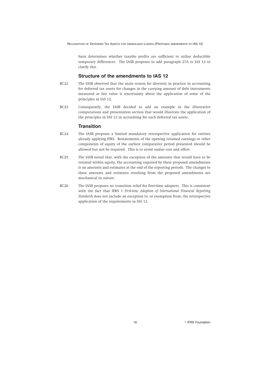basis determines whether taxable profits are sufficient to utilise deductible temporary differences. The IASB proposes to add paragraph 27A to IAS 12 to clarify this.

#### **Structure of the amendments to IAS 12**

- BC22 The IASB observed that the main reason for diversity in practice in accounting for deferred tax assets for changes in the carrying amount of debt instruments measured at fair value is uncertainty about the application of some of the principles in IAS 12.
- BC23 Consequently, the IASB decided to add an example in the illustrative computations and presentation section that would illustrate the application of the principles in IAS 12 in accounting for such deferred tax assets.

#### **Transition**

- BC24 The IASB proposes a limited mandatory retrospective application for entities already applying IFRS. Restatements of the opening retained earnings or other components of equity of the earliest comparative period presented should be allowed but not be required. This is to avoid undue cost and effort.
- BC25 The IASB noted that, with the exception of the amounts that would have to be restated within equity, the accounting required by these proposed amendments is on amounts and estimates at the end of the reporting periods. The changes to these amounts and estimates resulting from the proposed amendments are mechanical in nature.
- BC26 The IASB proposes no transition relief for first-time adopters. This is consistent with the fact that IFRS 1 *First-time Adoption of International Financial Reporting Standards* does not include an exception to, or exemption from, the retrospective application of the requirements in IAS 12.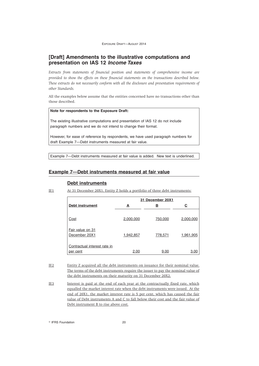# **[Draft] Amendments to the illustrative computations and presentation on IAS 12** *Income Taxes*

*Extracts from statements of financial position and statements of comprehensive income are provided to show the effects on these financial statements on the transactions described below. These extracts do not necessarily conform with all the disclosure and presentation requirements of other Standards.*

All the examples below assume that the entities concerned have no transactions other than those described.

#### **Note for respondents to the Exposure Draft:**

The existing illustrative computations and presentation of IAS 12 do not include paragraph numbers and we do not intend to change their format.

However, for ease of reference by respondents, we have used paragraph numbers for draft Example 7—Debt instruments measured at fair value.

Example 7—Debt instruments measured at fair value is added. New text is underlined.

#### **Example 7—Debt instruments measured at fair value**

#### **Debt instruments**

IE1 At 31 December 20X1, Entity Z holds a portfolio of three debt instruments:

|                                          | 31 December 20X1 |          |           |  |
|------------------------------------------|------------------|----------|-----------|--|
| <b>Debt instrument</b>                   | A                | <u>B</u> | C         |  |
| Cost                                     | 2,000,000        | 750,000  | 2,000,000 |  |
| Fair value on 31<br>December 20X1        | 1,942,857        | 778,571  | 1,961,905 |  |
| Contractual interest rate in<br>per cent | 2.00             | 9.00     | 3.00      |  |

IE2 Entity Z acquired all the debt instruments on issuance for their nominal value. The terms of the debt instruments require the issuer to pay the nominal value of the debt instruments on their maturity on 31 December 20X2.

IE3 Interest is paid at the end of each year at the contractually fixed rate, which equalled the market interest rate when the debt instruments were issued. At the end of 20X1, the market interest rate is 5 per cent, which has caused the fair value of Debt instruments A and C to fall below their cost and the fair value of Debt instrument B to rise above cost.

**Communist Execution 20** CIFRS Foundation 20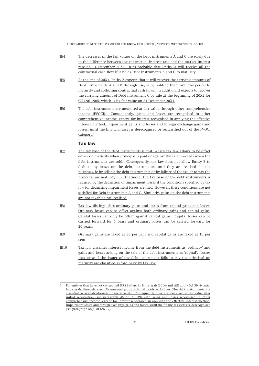- IE4 The decreases in the fair values on the Debt instruments A and C are solely due to the difference between the contractual interest rate and the market interest rate on 31 December 20X1. It is probable that Entity A will receive all the contractual cash flow if it holds Debt instruments A and C to maturity.
- IE5 At the end of 20X1, Entity Z expects that it will recover the carrying amounts of Debt instruments A and B through use, ie by holding them over the period to maturity and collecting contractual cash flows. In addition, it expects to recover the carrying amount of Debt instrument C by sale at the beginning of 20X2 for CU1,961,905, which is its fair value on 31 December 20X1.
- IE6 The debt instruments are measured at fair value through other comprehensive income (FVOCI). Consequently, gains and losses are recognised in other comprehensive income, except for interest recognised in applying the effective interest method, impairment gains and losses and foreign exchange gains and losses, until the financial asset is derecognised or reclassified out of the FVOCI category.<sup>1</sup>

#### **Tax law**

- IE7 The tax base of the debt instruments is cost, which tax law allows to be offset either on maturity when principal is paid or against the sale proceeds when the debt instruments are sold. Consequently, tax law does not allow Entity Z to deduct any losses on the debt instruments until they are realised for tax purposes, ie by selling the debt instruments or by failure of the issuer to pay the principal on maturity. Furthermore, the tax base of the debt instruments is reduced by the deduction of impairment losses if the conditions specified by tax law for deducting impairment losses are met. However, these conditions are not satisfied for Debt instruments A and C. Similarly, gains on the debt instruments are not taxable until realised.
- IE8 Tax law distinguishes ordinary gains and losses from capital gains and losses. Ordinary losses can be offset against both ordinary gains and capital gains. Capital losses can only be offset against capital gains. Capital losses can be carried forward for 5 years and ordinary losses can be carried forward for 20 years.
- IE9 Ordinary gains are taxed at 30 per cent and capital gains are taxed at 10 per cent.
- IE10 Tax law classifies interest income from the debt instruments as 'ordinary' and gains and losses arising on the sale of the debt instruments as 'capital'. Losses that arise if the issuer of the debt instrument fails to pay the principal on maturity are classified as 'ordinary' by tax law.

<sup>1</sup> For entities that have not yet applied IFRS 9 *Financial Instruments* (2014) and still apply IAS 39 *Financial Instruments: Recognition and Measurement* paragraph IE6 reads as follows: The debt instruments are classified as available-for-sale financial assets. Consequently, they are measured at fair value after initial recognition (see paragraph 46 of IAS 39) with gains and losses recognised in other comprehensive income, except for interest recognised in applying the effective interest method, impairment losses and foreign exchange gains and losses, until the financial assets are derecognised (see paragraph 55(b) of IAS 39).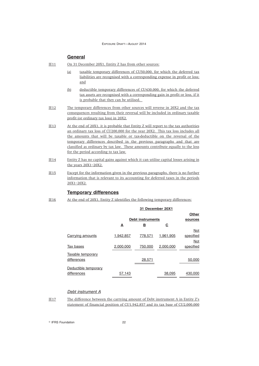# **General**

- IE11 On 31 December 20X1, Entity Z has from other sources:
	- (a) taxable temporary differences of CU50,000, for which the deferred tax liabilities are recognised with a corresponding expense in profit or loss; and
	- (b) deductible temporary differences of CU430,000, for which the deferred tax assets are recognised with a corresponding gain in profit or loss, if it is probable that they can be utilised.
- IE12 The temporary differences from other sources will reverse in 20X2 and the tax consequences resulting from their reversal will be included in ordinary taxable profit (or ordinary tax loss) in 20X2.
- IE13 At the end of 20X1, it is probable that Entity Z will report to the tax authorities an ordinary tax loss of CU200,000 for the year 20X2. This tax loss includes all the amounts that will be taxable or tax-deductible on the reversal of the temporary differences described in the previous paragraphs and that are classified as ordinary by tax law. These amounts contribute equally to the loss for the period according to tax law.
- IE14 Entity Z has no capital gains against which it can utilise capital losses arising in the years 20X1–20X2.
- IE15 Except for the information given in the previous paragraphs, there is no further information that is relevant to its accounting for deferred taxes in the periods 20X1–20X2.

# **Temporary differences**

IE16 At the end of 20X1, Entity Z identifies the following temporary differences:

|                      | 31 December 20X1 |                         |             |              |
|----------------------|------------------|-------------------------|-------------|--------------|
|                      |                  |                         |             | <b>Other</b> |
|                      |                  | <b>Debt instruments</b> |             | sources      |
|                      | А                | в                       | $\mathbf c$ |              |
|                      |                  |                         |             | Not          |
| Carrying amounts     | 1,942,857        | 778.571                 | 1,961,905   | specified    |
|                      |                  |                         |             | Not          |
| Tax bases            | 2,000,000        | 750,000                 | 2,000,000   | specified    |
| Taxable temporary    |                  |                         |             |              |
| differences          |                  | 28,571                  |             | 50,000       |
| Deductible temporary |                  |                         |             |              |
| differences          | 57,143           |                         | 38,095      | 430,000      |

#### *Debt instrument A*

IE17 The difference between the carrying amount of Debt instrument A in Entity Z's statement of financial position of CU1,942,857 and its tax base of CU2,000,000

**Communist Execution** 22 **COMPUTE:** 22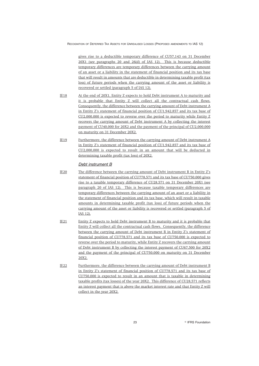gives rise to a deductible temporary difference of CU57,143 on 31 December 20X1 (see paragraphs 20 and 26(d) of IAS 12). This is because deductible temporary differences are temporary differences between the carrying amount of an asset or a liability in the statement of financial position and its tax base that will result in amounts that are deductible in determining taxable profit (tax loss) of future periods when the carrying amount of the asset or liability is recovered or settled (paragraph 5 of IAS 12).

- IE18 At the end of 20X1, Entity Z expects to hold Debt instrument A to maturity and it is probable that Entity Z will collect all the contractual cash flows. Consequently, the difference between the carrying amount of Debt instrument A in Entity Z's statement of financial position of CU1,942,857 and its tax base of CU2,000,000 is expected to reverse over the period to maturity while Entity Z recovers the carrying amount of Debt instrument A by collecting the interest payment of CU40,000 for 20X2 and the payment of the principal of CU2,000,000 on maturity on 31 December 20X2.
- IE19 Furthermore, the difference between the carrying amount of Debt instrument A in Entity Z's statement of financial position of CU1,942,857 and its tax base of CU2,000,000 is expected to result in an amount that will be deducted in determining taxable profit (tax loss) of 20X2.

#### *Debt instrument B*

- IE20 The difference between the carrying amount of Debt instrument B in Entity Z's statement of financial position of CU778,571 and its tax base of CU750,000 gives rise to a taxable temporary difference of CU28,571 on 31 December 20X1 (see paragraph 20 of IAS 12). This is because taxable temporary differences are temporary differences between the carrying amount of an asset or a liability in the statement of financial position and its tax base, which will result in taxable amounts in determining taxable profit (tax loss) of future periods when the carrying amount of the asset or liability is recovered or settled (paragraph 5 of IAS 12).
- IE21 Entity Z expects to hold Debt instrument B to maturity and it is probable that Entity Z will collect all the contractual cash flows. Consequently, the difference between the carrying amount of Debt instrument B in Entity Z's statement of financial position of CU778,571 and its tax base of CU750,000 is expected to reverse over the period to maturity, while Entity Z recovers the carrying amount of Debt instrument B by collecting the interest payment of CU67,500 for 20X2 and the payment of the principal of CU750,000 on maturity on 31 December 20X2.
- IE22 Furthermore, the difference between the carrying amount of Debt instrument B in Entity Z's statement of financial position of CU778,571 and its tax base of CU750,000 is expected to result in an amount that is taxable in determining taxable profits (tax losses) of the year 20X2. This difference of CU28,571 reflects an interest payment that is above the market interest rate and that Entity Z will collect in the year 20X2.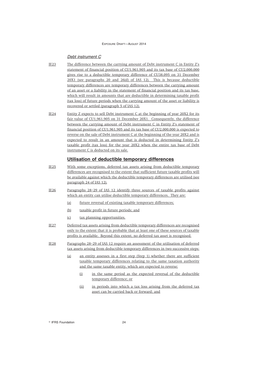#### *Debt instrument C*

- IE23 The difference between the carrying amount of Debt instrument C in Entity Z's statement of financial position of CU1,961,905 and its tax base of CU2,000,000 gives rise to a deductible temporary difference of CU38,095 on 31 December 20X1 (see paragraphs 20 and 26(d) of IAS 12). This is because deductible temporary differences are temporary differences between the carrying amount of an asset or a liability in the statement of financial position and its tax base, which will result in amounts that are deductible in determining taxable profit (tax loss) of future periods when the carrying amount of the asset or liability is recovered or settled (paragraph 5 of IAS 12).
- IE24 Entity Z expects to sell Debt instrument C at the beginning of year 20X2 for its fair value of CU1,961,905 on 31 December 20X1. Consequently, the difference between the carrying amount of Debt instrument C in Entity Z's statement of financial position of CU1,961,905 and its tax base of CU2,000,000 is expected to reverse on the sale of Debt instrument C at the beginning of the year 20X2 and is expected to result in an amount that is deducted in determining Entity Z's taxable profit (tax loss) for the year 20X2 when the entire tax base of Debt instrument C is deducted on its sale.

# **Utilisation of deductible temporary differences**

- IE25 With some exceptions, deferred tax assets arising from deductible temporary differences are recognised to the extent that sufficient future taxable profits will be available against which the deductible temporary differences are utilised (see paragraph 24 of IAS 12).
- IE26 Paragraphs 28–29 of IAS 12 identify three sources of taxable profits against which an entity can utilise deductible temporary differences. They are:
	- (a) future reversal of existing taxable temporary differences;
	- (b) taxable profit in future periods; and
	- (c) tax planning opportunities.
- IE27 Deferred tax assets arising from deductible temporary differences are recognised only to the extent that it is probable that at least one of these sources of taxable profits is available. Beyond this extent, no deferred tax asset is recognised.
- IE28 Paragraphs 28–29 of IAS 12 require an assessment of the utilisation of deferred tax assets arising from deductible temporary differences in two successive steps:
	- (a) an entity assesses in a first step (Step 1) whether there are sufficient taxable temporary differences relating to the same taxation authority and the same taxable entity, which are expected to reverse:
		- (i) in the same period as the expected reversal of the deductible temporary difference; or
		- (ii) in periods into which a tax loss arising from the deferred tax asset can be carried back or forward; and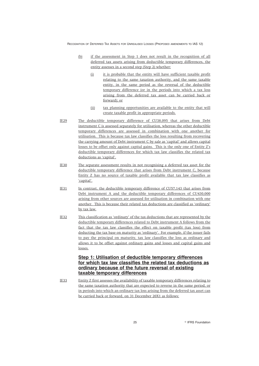- (b) if the assessment in Step 1 does not result in the recognition of all deferred tax assets arising from deductible temporary differences, the entity assesses in a second step (Step 2) whether:
	- (i) it is probable that the entity will have sufficient taxable profit relating to the same taxation authority, and the same taxable entity, in the same period as the reversal of the deductible temporary difference (or in the periods into which a tax loss arising from the deferred tax asset can be carried back or forward); or
	- (ii) tax planning opportunities are available to the entity that will create taxable profit in appropriate periods.
- IE29 The deductible temporary difference of CU38,095 that arises from Debt instrument C is assessed separately for utilisation, whereas the other deductible temporary differences are assessed in combination with one another for utilisation. This is because tax law classifies the loss resulting from recovering the carrying amount of Debt instrument C by sale as 'capital' and allows capital losses to be offset only against capital gains. This is the only one of Entity Z's deductible temporary differences for which tax law classifies the related tax deductions as 'capital'.
- IE30 The separate assessment results in not recognising a deferred tax asset for the deductible temporary difference that arises from Debt instrument C, because Entity Z has no source of taxable profit available that tax law classifies as 'capital'.
- IE31 In contrast, the deductible temporary difference of CU57,143 that arises from Debt instrument A and the deductible temporary differences of CU430,000 arising from other sources are assessed for utilisation in combination with one another. This is because their related tax deductions are classified as 'ordinary' by tax law.
- IE32 This classification as 'ordinary' of the tax deductions that are represented by the deductible temporary differences related to Debt instrument A follows from the fact that the tax law classifies the effect on taxable profit (tax loss) from deducting the tax base on maturity as 'ordinary'. For example, if the issuer fails to pay the principal on maturity, tax law classifies the loss as ordinary and allows it to be offset against ordinary gains and losses and capital gains and losses.

# **Step 1: Utilisation of deductible temporary differences for which tax law classifies the related tax deductions as ordinary because of the future reversal of existing taxable temporary differences**

IE33 Entity Z first assesses the availability of taxable temporary differences relating to the same taxation authority that are expected to reverse in the same period, or in periods into which an ordinary tax loss arising from the deferred tax asset can be carried back or forward, on 31 December 20X1 as follows: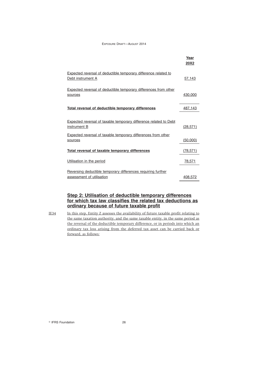|                                                                                             | Year<br><b>20X2</b> |
|---------------------------------------------------------------------------------------------|---------------------|
| <b>Expected reversal of deductible temporary difference related to</b><br>Debt instrument A | 57,143              |
| <b>Expected reversal of deductible temporary differences from other</b><br>sources          | 430,000             |
| Total reversal of deductible temporary differences                                          | 487,143             |
| <b>Expected reversal of taxable temporary difference related to Debt</b><br>instrument B    | (28, 571)           |
| <b>Expected reversal of taxable temporary differences from other</b><br>sources             | (50,000)            |
| Total reversal of taxable temporary differences                                             | (78, 571)           |
| Utilisation in the period                                                                   | 78,571              |
| Reversing deductible temporary differences requiring further<br>assessment of utilisation   | 408.572             |

# **Step 2: Utilisation of deductible temporary differences for which tax law classifies the related tax deductions as ordinary because of future taxable profit**

IE34 In this step, Entity Z assesses the availability of future taxable profit relating to the same taxation authority, and the same taxable entity, in the same period as the reversal of the deductible temporary difference, or in periods into which an ordinary tax loss arising from the deferred tax asset can be carried back or forward, as follows: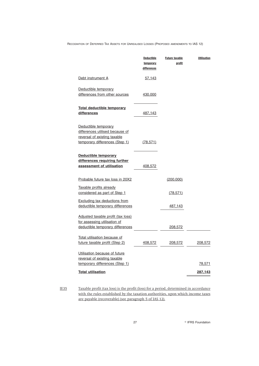|                                                                                                                           | <u>Deductible</u><br>temporary<br>differences | <b>Future taxable</b><br>profit | <b>Utilisation</b> |
|---------------------------------------------------------------------------------------------------------------------------|-----------------------------------------------|---------------------------------|--------------------|
| Debt instrument A                                                                                                         | 57,143                                        |                                 |                    |
| Deductible temporary<br>differences from other sources                                                                    | <u>430,000</u>                                |                                 |                    |
| <b>Total deductible temporary</b><br>differences                                                                          | 487,143                                       |                                 |                    |
| Deductible temporary<br>differences utilised because of<br>reversal of existing taxable<br>temporary differences (Step 1) | (78, 571)                                     |                                 |                    |
| Deductible temporary<br>differences requiring further<br>assessment of utilisation                                        | 408,572                                       |                                 |                    |
| Probable future tax loss in 20X2                                                                                          |                                               | (200,000)                       |                    |
| Taxable profits already<br>considered as part of Step 1                                                                   |                                               | (78, 571)                       |                    |
| Excluding tax deductions from<br>deductible temporary differences                                                         |                                               | 487,143                         |                    |
| Adjusted taxable profit (tax loss)<br>for assessing utilisation of<br>deductible temporary differences                    |                                               | 208,572                         |                    |
| Total utilisation because of<br>future taxable profit (Step 2)                                                            | <u>408,572</u>                                | 208,572                         | 208,572            |
| Utilisation because of future<br>reversal of existing taxable                                                             |                                               |                                 |                    |
| temporary differences (Step 1)<br><b>Total utilisation</b>                                                                |                                               |                                 | 78,571<br>287,143  |
|                                                                                                                           |                                               |                                 |                    |

IE35 Taxable profit (tax loss) is the profit (loss) for a period, determined in accordance with the rules established by the taxation authorities, upon which income taxes are payable (recoverable) (see paragraph 5 of IAS 12).

<sup>©</sup> IFRS Foundation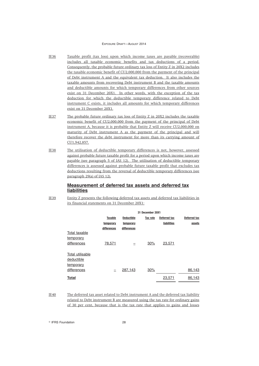- IE36 Taxable profit (tax loss) upon which income taxes are payable (recoverable) includes all taxable economic benefits and tax deductions of a period. Consequently, the probable future ordinary tax loss of Entity Z in 20X2 includes the taxable economic benefit of CU2,000,000 from the payment of the principal of Debt instrument A and the equivalent tax deduction. It also includes the taxable amounts from recovering Debt instrument B and the taxable amounts and deductible amounts for which temporary differences from other sources exist on 31 December 20X1. In other words, with the exception of the tax deduction for which the deductible temporary difference related to Debt instrument C exists, it includes all amounts for which temporary differences exist on 31 December 20X1.
- IE37 The probable future ordinary tax loss of Entity Z in 20X2 includes the taxable economic benefit of CU2,000,000 from the payment of the principal of Debt instrument A, because it is probable that Entity Z will receive CU2,000,000 on maturity of Debt instrument A as the payment of the principal and will therefore recover the debt instrument for more than its carrying amount of CU1,942,857.
- IE38 The utilisation of deductible temporary differences is not, however, assessed against probable future taxable profit for a period upon which income taxes are payable (see paragraph 5 of IAS 12). The utilisation of deductible temporary differences is assessed against probable future taxable profit that excludes tax deductions resulting from the reversal of deductible temporary differences (see paragraph 29(a) of IAS 12).

## **Measurement of deferred tax assets and deferred tax liabilities**

IE39 Entity Z presents the following deferred tax assets and deferred tax liabilities in its financial statements on 31 December 20X1:

| 31 December 20X1 |                   |          |              |                     |
|------------------|-------------------|----------|--------------|---------------------|
| <b>Taxable</b>   | <b>Deductible</b> | Tax rate | Deferred tax | <b>Deferred tax</b> |
| temporary        | temporary         |          | liabilities  | assets              |
| differences      | differences       |          |              |                     |
|                  |                   |          |              |                     |
|                  |                   |          |              |                     |
| 78,571           |                   | 30%      | 23,571       |                     |
|                  |                   |          |              |                     |
|                  |                   |          |              |                     |
|                  |                   |          |              |                     |
|                  |                   |          |              |                     |
|                  | 287,143           | 30%      |              | 86,143              |
|                  |                   |          | 23,571       | 86,143              |
|                  |                   |          |              |                     |

IE40 The deferred tax asset related to Debt instrument A and the deferred tax liability related to Debt instrument B are measured using the tax rate for ordinary gains of 30 per cent, because that is the tax rate that applies to gains and losses